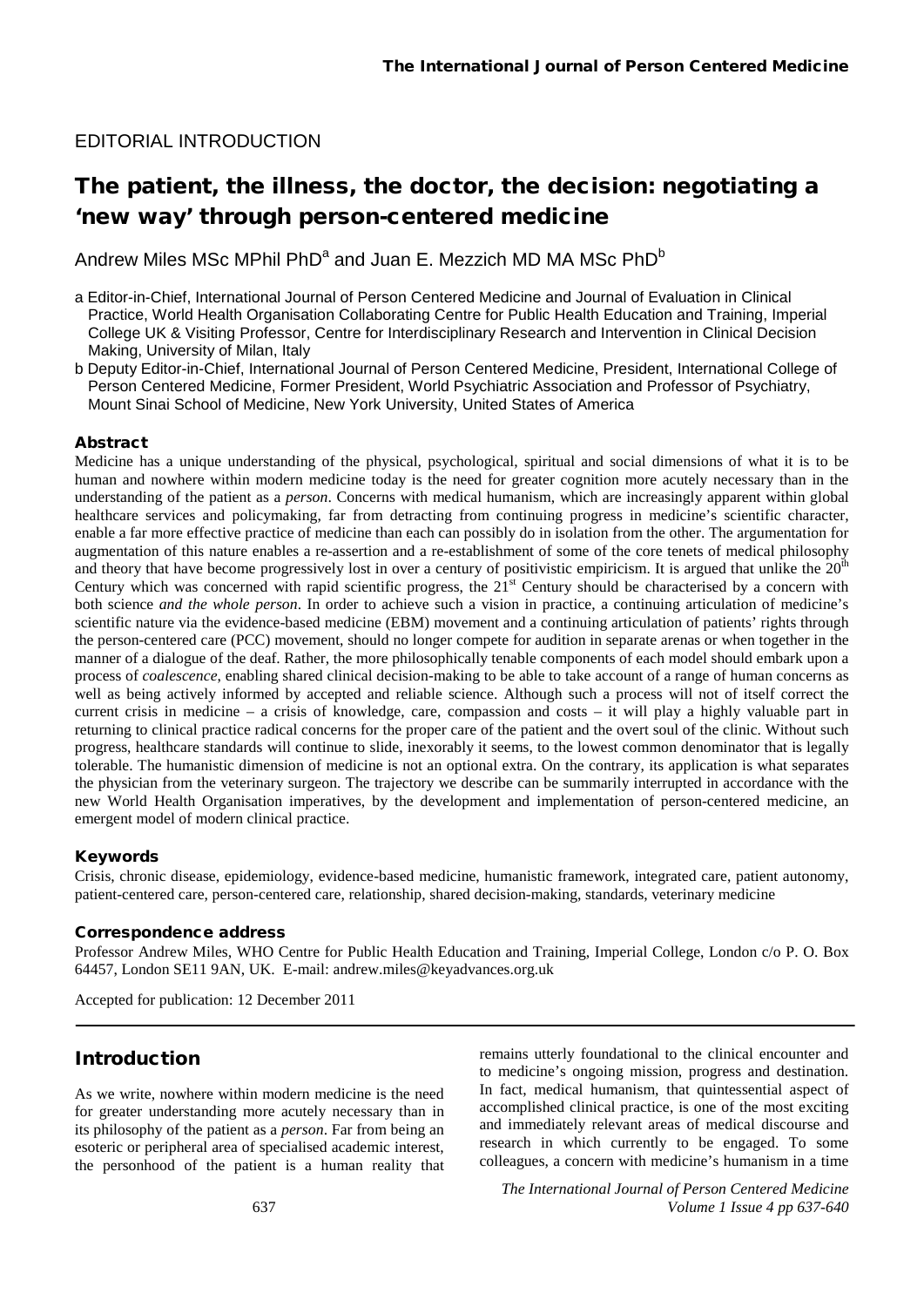### EDITORIAL INTRODUCTION

# The patient, the illness, the doctor, the decision: negotiating a 'new way' through person-centered medicine

Andrew Miles MSc MPhil PhD<sup>a</sup> and Juan E. Mezzich MD MA MSc PhD<sup>b</sup>

- a Editor-in-Chief, International Journal of Person Centered Medicine and Journal of Evaluation in Clinical Practice, World Health Organisation Collaborating Centre for Public Health Education and Training, Imperial College UK & Visiting Professor, Centre for Interdisciplinary Research and Intervention in Clinical Decision Making, University of Milan, Italy
- b Deputy Editor-in-Chief, International Journal of Person Centered Medicine, President, International College of Person Centered Medicine, Former President, World Psychiatric Association and Professor of Psychiatry, Mount Sinai School of Medicine, New York University, United States of America

#### Abstract

Medicine has a unique understanding of the physical, psychological, spiritual and social dimensions of what it is to be human and nowhere within modern medicine today is the need for greater cognition more acutely necessary than in the understanding of the patient as a *person*. Concerns with medical humanism, which are increasingly apparent within global healthcare services and policymaking, far from detracting from continuing progress in medicine's scientific character, enable a far more effective practice of medicine than each can possibly do in isolation from the other. The argumentation for augmentation of this nature enables a re-assertion and a re-establishment of some of the core tenets of medical philosophy and theory that have become progressively lost in over a century of positivistic empiricism. It is argued that unlike the  $20<sup>th</sup>$ Century which was concerned with rapid scientific progress, the  $21<sup>st</sup>$  Century should be characterised by a concern with both science *and the whole person*. In order to achieve such a vision in practice, a continuing articulation of medicine's scientific nature via the evidence-based medicine (EBM) movement and a continuing articulation of patients' rights through the person-centered care (PCC) movement, should no longer compete for audition in separate arenas or when together in the manner of a dialogue of the deaf. Rather, the more philosophically tenable components of each model should embark upon a process of *coalescence*, enabling shared clinical decision-making to be able to take account of a range of human concerns as well as being actively informed by accepted and reliable science. Although such a process will not of itself correct the current crisis in medicine – a crisis of knowledge, care, compassion and costs – it will play a highly valuable part in returning to clinical practice radical concerns for the proper care of the patient and the overt soul of the clinic. Without such progress, healthcare standards will continue to slide, inexorably it seems, to the lowest common denominator that is legally tolerable. The humanistic dimension of medicine is not an optional extra. On the contrary, its application is what separates the physician from the veterinary surgeon. The trajectory we describe can be summarily interrupted in accordance with the new World Health Organisation imperatives, by the development and implementation of person-centered medicine, an emergent model of modern clinical practice.

#### Keywords

Crisis, chronic disease, epidemiology, evidence-based medicine, humanistic framework, integrated care, patient autonomy, patient-centered care, person-centered care, relationship, shared decision-making, standards, veterinary medicine

#### Correspondence address

Professor Andrew Miles, WHO Centre for Public Health Education and Training, Imperial College, London c/o P. O. Box 64457, London SE11 9AN, UK. E-mail: [andrew.miles@keyadvances.org.uk](mailto:andrew.miles@keyadvances.org.uk)

Accepted for publication: 12 December 2011

### Introduction

As we write, nowhere within modern medicine is the need for greater understanding more acutely necessary than in its philosophy of the patient as a *person*. Far from being an esoteric or peripheral area of specialised academic interest, the personhood of the patient is a human reality that remains utterly foundational to the clinical encounter and to medicine's ongoing mission, progress and destination. In fact, medical humanism, that quintessential aspect of accomplished clinical practice, is one of the most exciting and immediately relevant areas of medical discourse and research in which currently to be engaged. To some colleagues, a concern with medicine's humanism in a time

*The International Journal of Person Centered Medicine Volume 1 Issue 4 pp 637-640*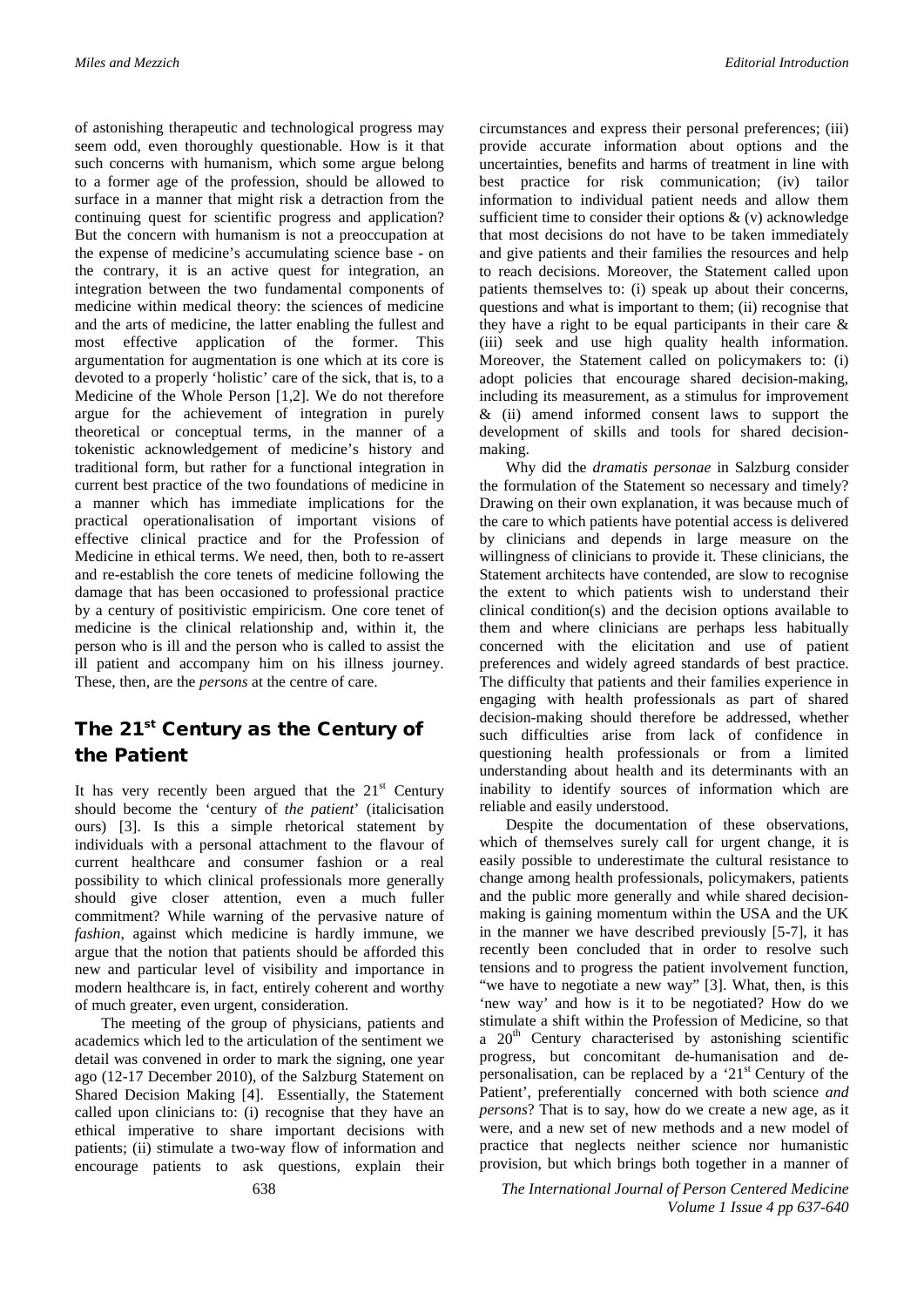of astonishing therapeutic and technological progress may seem odd, even thoroughly questionable. How is it that such concerns with humanism, which some argue belong to a former age of the profession, should be allowed to surface in a manner that might risk a detraction from the continuing quest for scientific progress and application? But the concern with humanism is not a preoccupation at the expense of medicine's accumulating science base - on the contrary, it is an active quest for integration, an integration between the two fundamental components of medicine within medical theory: the sciences of medicine and the arts of medicine, the latter enabling the fullest and most effective application of the former. This argumentation for augmentation is one which at its core is devoted to a properly 'holistic' care of the sick, that is, to a Medicine of the Whole Person [1,2]. We do not therefore argue for the achievement of integration in purely theoretical or conceptual terms, in the manner of a tokenistic acknowledgement of medicine's history and traditional form, but rather for a functional integration in current best practice of the two foundations of medicine in a manner which has immediate implications for the practical operationalisation of important visions of effective clinical practice and for the Profession of Medicine in ethical terms. We need, then, both to re-assert and re-establish the core tenets of medicine following the damage that has been occasioned to professional practice by a century of positivistic empiricism. One core tenet of medicine is the clinical relationship and, within it, the person who is ill and the person who is called to assist the ill patient and accompany him on his illness journey. These, then, are the *persons* at the centre of care.

## The 21<sup>st</sup> Century as the Century of the Patient

It has very recently been argued that the  $21<sup>st</sup>$  Century should become the 'century of *the patient*' (italicisation ours) [3]. Is this a simple rhetorical statement by individuals with a personal attachment to the flavour of current healthcare and consumer fashion or a real possibility to which clinical professionals more generally should give closer attention, even a much fuller commitment? While warning of the pervasive nature of *fashion*, against which medicine is hardly immune, we argue that the notion that patients should be afforded this new and particular level of visibility and importance in modern healthcare is, in fact, entirely coherent and worthy of much greater, even urgent, consideration.

The meeting of the group of physicians, patients and academics which led to the articulation of the sentiment we detail was convened in order to mark the signing, one year ago (12-17 December 2010), of the Salzburg Statement on Shared Decision Making [4]. Essentially, the Statement called upon clinicians to: (i) recognise that they have an ethical imperative to share important decisions with patients; (ii) stimulate a two-way flow of information and encourage patients to ask questions, explain their circumstances and express their personal preferences; (iii) provide accurate information about options and the uncertainties, benefits and harms of treatment in line with best practice for risk communication; (iv) tailor information to individual patient needs and allow them sufficient time to consider their options  $\&$  (v) acknowledge that most decisions do not have to be taken immediately and give patients and their families the resources and help to reach decisions. Moreover, the Statement called upon patients themselves to: (i) speak up about their concerns, questions and what is important to them; (ii) recognise that they have a right to be equal participants in their care & (iii) seek and use high quality health information. Moreover, the Statement called on policymakers to: (i) adopt policies that encourage shared decision-making, including its measurement, as a stimulus for improvement & (ii) amend informed consent laws to support the development of skills and tools for shared decisionmaking.

Why did the *dramatis personae* in Salzburg consider the formulation of the Statement so necessary and timely? Drawing on their own explanation, it was because much of the care to which patients have potential access is delivered by clinicians and depends in large measure on the willingness of clinicians to provide it. These clinicians, the Statement architects have contended, are slow to recognise the extent to which patients wish to understand their clinical condition(s) and the decision options available to them and where clinicians are perhaps less habitually concerned with the elicitation and use of patient preferences and widely agreed standards of best practice. The difficulty that patients and their families experience in engaging with health professionals as part of shared decision-making should therefore be addressed, whether such difficulties arise from lack of confidence in questioning health professionals or from a limited understanding about health and its determinants with an inability to identify sources of information which are reliable and easily understood.

Despite the documentation of these observations, which of themselves surely call for urgent change, it is easily possible to underestimate the cultural resistance to change among health professionals, policymakers, patients and the public more generally and while shared decisionmaking is gaining momentum within the USA and the UK in the manner we have described previously [5-7], it has recently been concluded that in order to resolve such tensions and to progress the patient involvement function, "we have to negotiate a new way" [3]. What, then, is this 'new way' and how is it to be negotiated? How do we stimulate a shift within the Profession of Medicine, so that a  $20<sup>th</sup>$  Century characterised by astonishing scientific progress, but concomitant de-humanisation and depersonalisation, can be replaced by a ' $21<sup>st</sup>$  Century of the Patient', preferentially concerned with both science *and persons*? That is to say, how do we create a new age, as it were, and a new set of new methods and a new model of practice that neglects neither science nor humanistic provision, but which brings both together in a manner of

638 *The International Journal of Person Centered Medicine Volume 1 Issue 4 pp 637-640*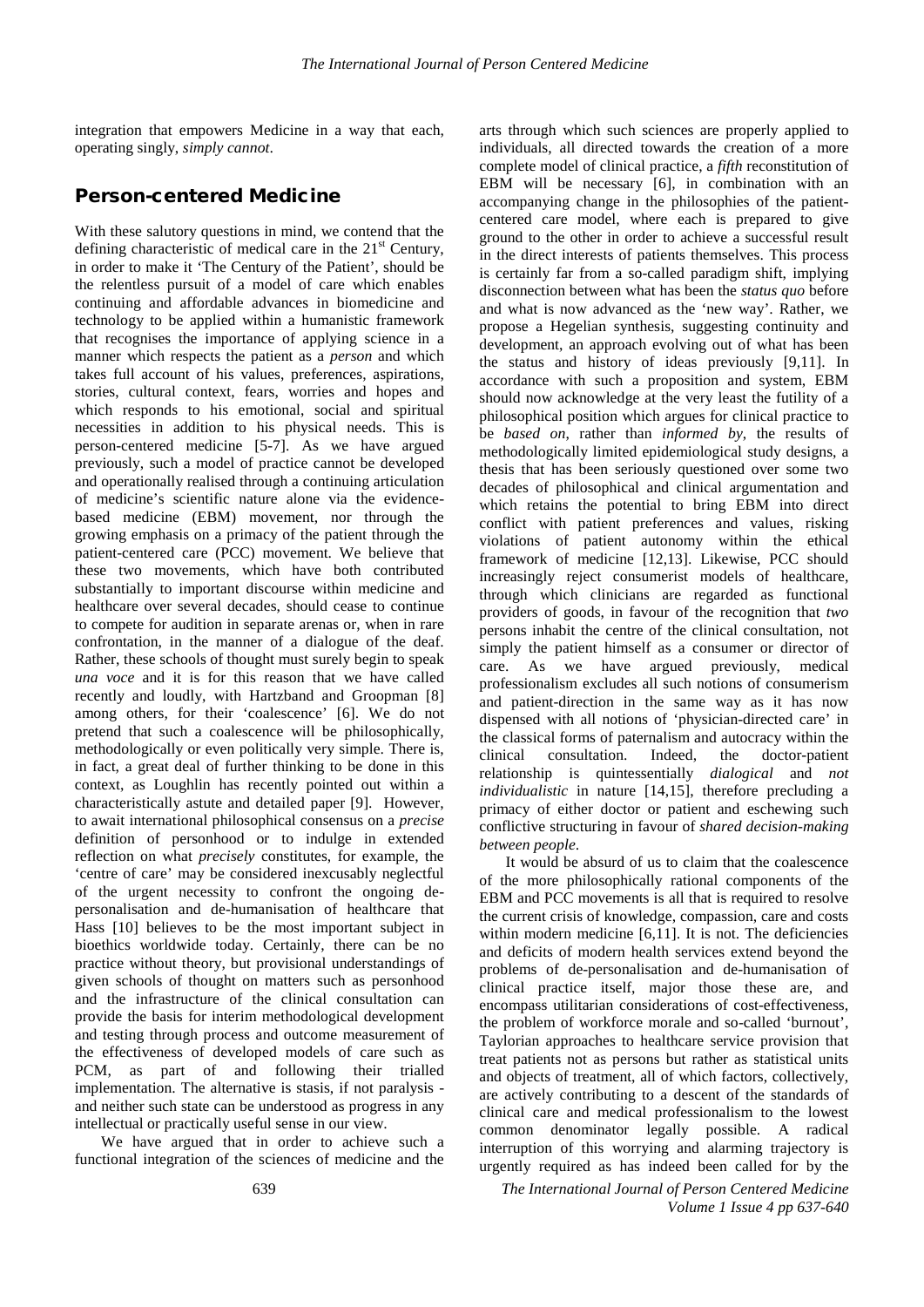integration that empowers Medicine in a way that each, operating singly, *simply cannot*.

#### Person-centered Medicine

With these salutory questions in mind, we contend that the defining characteristic of medical care in the  $21<sup>st</sup>$  Century, in order to make it 'The Century of the Patient', should be the relentless pursuit of a model of care which enables continuing and affordable advances in biomedicine and technology to be applied within a humanistic framework that recognises the importance of applying science in a manner which respects the patient as a *person* and which takes full account of his values, preferences, aspirations, stories, cultural context, fears, worries and hopes and which responds to his emotional, social and spiritual necessities in addition to his physical needs. This is person-centered medicine [5-7]. As we have argued previously, such a model of practice cannot be developed and operationally realised through a continuing articulation of medicine's scientific nature alone via the evidencebased medicine (EBM) movement, nor through the growing emphasis on a primacy of the patient through the patient-centered care (PCC) movement. We believe that these two movements, which have both contributed substantially to important discourse within medicine and healthcare over several decades, should cease to continue to compete for audition in separate arenas or, when in rare confrontation, in the manner of a dialogue of the deaf. Rather, these schools of thought must surely begin to speak *una voce* and it is for this reason that we have called recently and loudly, with Hartzband and Groopman [8] among others, for their 'coalescence' [6]. We do not pretend that such a coalescence will be philosophically, methodologically or even politically very simple. There is, in fact, a great deal of further thinking to be done in this context, as Loughlin has recently pointed out within a characteristically astute and detailed paper [9]. However, to await international philosophical consensus on a *precise* definition of personhood or to indulge in extended reflection on what *precisely* constitutes, for example, the 'centre of care' may be considered inexcusably neglectful of the urgent necessity to confront the ongoing depersonalisation and de-humanisation of healthcare that Hass [10] believes to be the most important subject in bioethics worldwide today. Certainly, there can be no practice without theory, but provisional understandings of given schools of thought on matters such as personhood and the infrastructure of the clinical consultation can provide the basis for interim methodological development and testing through process and outcome measurement of the effectiveness of developed models of care such as PCM, as part of and following their trialled implementation. The alternative is stasis, if not paralysis and neither such state can be understood as progress in any intellectual or practically useful sense in our view.

We have argued that in order to achieve such a functional integration of the sciences of medicine and the

arts through which such sciences are properly applied to individuals, all directed towards the creation of a more complete model of clinical practice, a *fifth* reconstitution of EBM will be necessary [6], in combination with an accompanying change in the philosophies of the patientcentered care model, where each is prepared to give ground to the other in order to achieve a successful result in the direct interests of patients themselves. This process is certainly far from a so-called paradigm shift, implying disconnection between what has been the *status quo* before and what is now advanced as the 'new way'. Rather, we propose a Hegelian synthesis, suggesting continuity and development, an approach evolving out of what has been the status and history of ideas previously [9,11]. In accordance with such a proposition and system, EBM should now acknowledge at the very least the futility of a philosophical position which argues for clinical practice to be *based on*, rather than *informed by*, the results of methodologically limited epidemiological study designs, a thesis that has been seriously questioned over some two decades of philosophical and clinical argumentation and which retains the potential to bring EBM into direct conflict with patient preferences and values, risking violations of patient autonomy within the ethical framework of medicine [12,13]. Likewise, PCC should increasingly reject consumerist models of healthcare, through which clinicians are regarded as functional providers of goods, in favour of the recognition that *two* persons inhabit the centre of the clinical consultation, not simply the patient himself as a consumer or director of care. As we have argued previously, medical professionalism excludes all such notions of consumerism and patient-direction in the same way as it has now dispensed with all notions of 'physician-directed care' in the classical forms of paternalism and autocracy within the clinical consultation. Indeed, the doctor-patient  $clinical$  consultation. Indeed, the relationship is quintessentially *dialogical* and *not individualistic* in nature [14,15], therefore precluding a primacy of either doctor or patient and eschewing such conflictive structuring in favour of *shared decision-making between people*.

It would be absurd of us to claim that the coalescence of the more philosophically rational components of the EBM and PCC movements is all that is required to resolve the current crisis of knowledge, compassion, care and costs within modern medicine [6,11]. It is not. The deficiencies and deficits of modern health services extend beyond the problems of de-personalisation and de-humanisation of clinical practice itself, major those these are, and encompass utilitarian considerations of cost-effectiveness, the problem of workforce morale and so-called 'burnout', Taylorian approaches to healthcare service provision that treat patients not as persons but rather as statistical units and objects of treatment, all of which factors, collectively, are actively contributing to a descent of the standards of clinical care and medical professionalism to the lowest common denominator legally possible. A radical interruption of this worrying and alarming trajectory is urgently required as has indeed been called for by the

639 *The International Journal of Person Centered Medicine Volume 1 Issue 4 pp 637-640*